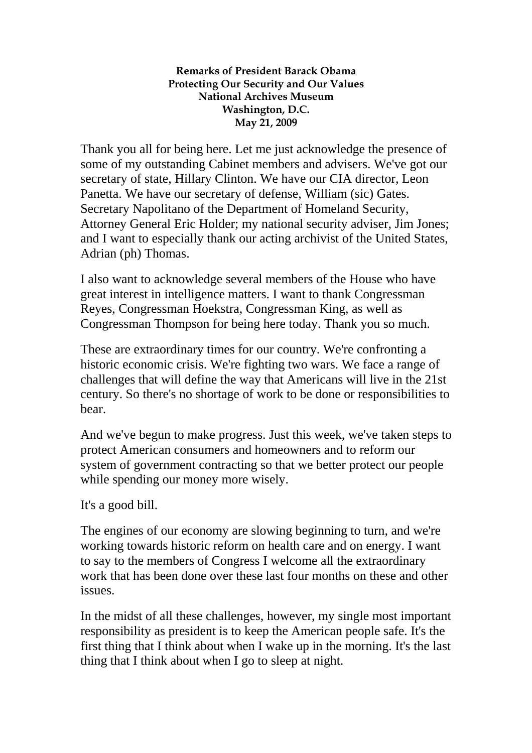**Remarks of President Barack Obama Protecting Our Security and Our Values National Archives Museum Washington, D.C. May 21, 2009** 

Thank you all for being here. Let me just acknowledge the presence of some of my outstanding Cabinet members and advisers. We've got our secretary of state, Hillary Clinton. We have our CIA director, Leon Panetta. We have our secretary of defense, William (sic) Gates. Secretary Napolitano of the Department of Homeland Security, Attorney General Eric Holder; my national security adviser, Jim Jones; and I want to especially thank our acting archivist of the United States, Adrian (ph) Thomas.

I also want to acknowledge several members of the House who have great interest in intelligence matters. I want to thank Congressman Reyes, Congressman Hoekstra, Congressman King, as well as Congressman Thompson for being here today. Thank you so much.

These are extraordinary times for our country. We're confronting a historic economic crisis. We're fighting two wars. We face a range of challenges that will define the way that Americans will live in the 21st century. So there's no shortage of work to be done or responsibilities to bear.

And we've begun to make progress. Just this week, we've taken steps to protect American consumers and homeowners and to reform our system of government contracting so that we better protect our people while spending our money more wisely.

It's a good bill.

The engines of our economy are slowing beginning to turn, and we're working towards historic reform on health care and on energy. I want to say to the members of Congress I welcome all the extraordinary work that has been done over these last four months on these and other issues.

In the midst of all these challenges, however, my single most important responsibility as president is to keep the American people safe. It's the first thing that I think about when I wake up in the morning. It's the last thing that I think about when I go to sleep at night.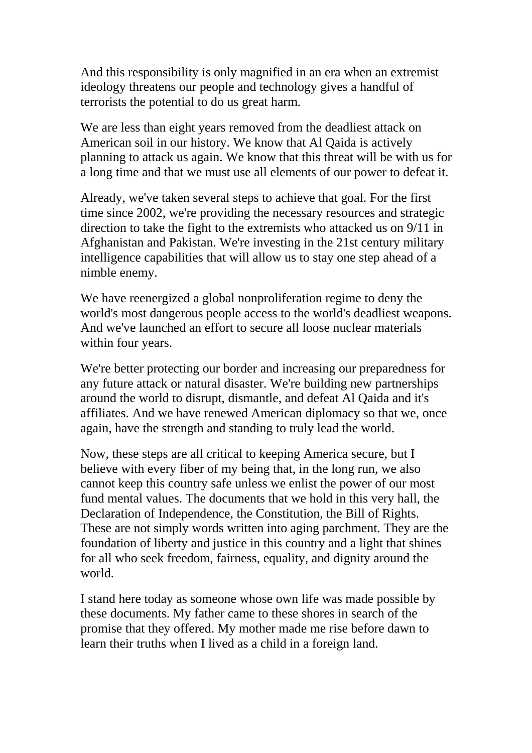And this responsibility is only magnified in an era when an extremist ideology threatens our people and technology gives a handful of terrorists the potential to do us great harm.

We are less than eight years removed from the deadliest attack on American soil in our history. We know that Al Qaida is actively planning to attack us again. We know that this threat will be with us for a long time and that we must use all elements of our power to defeat it.

Already, we've taken several steps to achieve that goal. For the first time since 2002, we're providing the necessary resources and strategic direction to take the fight to the extremists who attacked us on 9/11 in Afghanistan and Pakistan. We're investing in the 21st century military intelligence capabilities that will allow us to stay one step ahead of a nimble enemy.

We have reenergized a global nonproliferation regime to deny the world's most dangerous people access to the world's deadliest weapons. And we've launched an effort to secure all loose nuclear materials within four years.

We're better protecting our border and increasing our preparedness for any future attack or natural disaster. We're building new partnerships around the world to disrupt, dismantle, and defeat Al Qaida and it's affiliates. And we have renewed American diplomacy so that we, once again, have the strength and standing to truly lead the world.

Now, these steps are all critical to keeping America secure, but I believe with every fiber of my being that, in the long run, we also cannot keep this country safe unless we enlist the power of our most fund mental values. The documents that we hold in this very hall, the Declaration of Independence, the Constitution, the Bill of Rights. These are not simply words written into aging parchment. They are the foundation of liberty and justice in this country and a light that shines for all who seek freedom, fairness, equality, and dignity around the world.

I stand here today as someone whose own life was made possible by these documents. My father came to these shores in search of the promise that they offered. My mother made me rise before dawn to learn their truths when I lived as a child in a foreign land.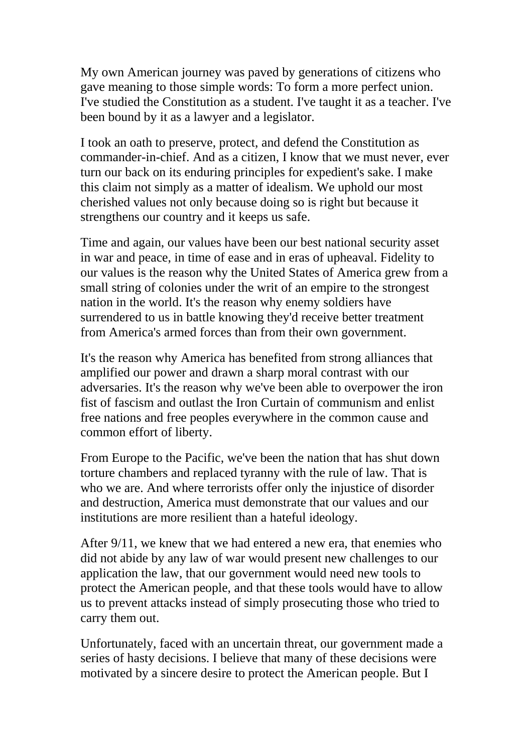My own American journey was paved by generations of citizens who gave meaning to those simple words: To form a more perfect union. I've studied the Constitution as a student. I've taught it as a teacher. I've been bound by it as a lawyer and a legislator.

I took an oath to preserve, protect, and defend the Constitution as commander-in-chief. And as a citizen, I know that we must never, ever turn our back on its enduring principles for expedient's sake. I make this claim not simply as a matter of idealism. We uphold our most cherished values not only because doing so is right but because it strengthens our country and it keeps us safe.

Time and again, our values have been our best national security asset in war and peace, in time of ease and in eras of upheaval. Fidelity to our values is the reason why the United States of America grew from a small string of colonies under the writ of an empire to the strongest nation in the world. It's the reason why enemy soldiers have surrendered to us in battle knowing they'd receive better treatment from America's armed forces than from their own government.

It's the reason why America has benefited from strong alliances that amplified our power and drawn a sharp moral contrast with our adversaries. It's the reason why we've been able to overpower the iron fist of fascism and outlast the Iron Curtain of communism and enlist free nations and free peoples everywhere in the common cause and common effort of liberty.

From Europe to the Pacific, we've been the nation that has shut down torture chambers and replaced tyranny with the rule of law. That is who we are. And where terrorists offer only the injustice of disorder and destruction, America must demonstrate that our values and our institutions are more resilient than a hateful ideology.

After 9/11, we knew that we had entered a new era, that enemies who did not abide by any law of war would present new challenges to our application the law, that our government would need new tools to protect the American people, and that these tools would have to allow us to prevent attacks instead of simply prosecuting those who tried to carry them out.

Unfortunately, faced with an uncertain threat, our government made a series of hasty decisions. I believe that many of these decisions were motivated by a sincere desire to protect the American people. But I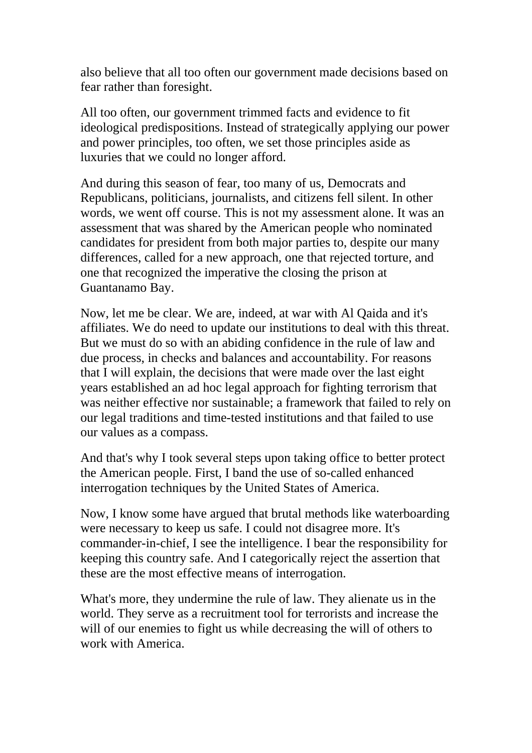also believe that all too often our government made decisions based on fear rather than foresight.

All too often, our government trimmed facts and evidence to fit ideological predispositions. Instead of strategically applying our power and power principles, too often, we set those principles aside as luxuries that we could no longer afford.

And during this season of fear, too many of us, Democrats and Republicans, politicians, journalists, and citizens fell silent. In other words, we went off course. This is not my assessment alone. It was an assessment that was shared by the American people who nominated candidates for president from both major parties to, despite our many differences, called for a new approach, one that rejected torture, and one that recognized the imperative the closing the prison at Guantanamo Bay.

Now, let me be clear. We are, indeed, at war with Al Qaida and it's affiliates. We do need to update our institutions to deal with this threat. But we must do so with an abiding confidence in the rule of law and due process, in checks and balances and accountability. For reasons that I will explain, the decisions that were made over the last eight years established an ad hoc legal approach for fighting terrorism that was neither effective nor sustainable; a framework that failed to rely on our legal traditions and time-tested institutions and that failed to use our values as a compass.

And that's why I took several steps upon taking office to better protect the American people. First, I band the use of so-called enhanced interrogation techniques by the United States of America.

Now, I know some have argued that brutal methods like waterboarding were necessary to keep us safe. I could not disagree more. It's commander-in-chief, I see the intelligence. I bear the responsibility for keeping this country safe. And I categorically reject the assertion that these are the most effective means of interrogation.

What's more, they undermine the rule of law. They alienate us in the world. They serve as a recruitment tool for terrorists and increase the will of our enemies to fight us while decreasing the will of others to work with America.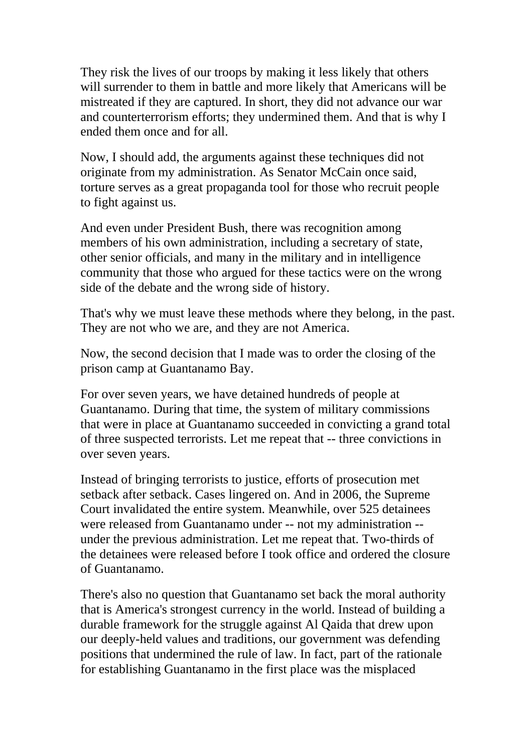They risk the lives of our troops by making it less likely that others will surrender to them in battle and more likely that Americans will be mistreated if they are captured. In short, they did not advance our war and counterterrorism efforts; they undermined them. And that is why I ended them once and for all.

Now, I should add, the arguments against these techniques did not originate from my administration. As Senator McCain once said, torture serves as a great propaganda tool for those who recruit people to fight against us.

And even under President Bush, there was recognition among members of his own administration, including a secretary of state, other senior officials, and many in the military and in intelligence community that those who argued for these tactics were on the wrong side of the debate and the wrong side of history.

That's why we must leave these methods where they belong, in the past. They are not who we are, and they are not America.

Now, the second decision that I made was to order the closing of the prison camp at Guantanamo Bay.

For over seven years, we have detained hundreds of people at Guantanamo. During that time, the system of military commissions that were in place at Guantanamo succeeded in convicting a grand total of three suspected terrorists. Let me repeat that -- three convictions in over seven years.

Instead of bringing terrorists to justice, efforts of prosecution met setback after setback. Cases lingered on. And in 2006, the Supreme Court invalidated the entire system. Meanwhile, over 525 detainees were released from Guantanamo under -- not my administration - under the previous administration. Let me repeat that. Two-thirds of the detainees were released before I took office and ordered the closure of Guantanamo.

There's also no question that Guantanamo set back the moral authority that is America's strongest currency in the world. Instead of building a durable framework for the struggle against Al Qaida that drew upon our deeply-held values and traditions, our government was defending positions that undermined the rule of law. In fact, part of the rationale for establishing Guantanamo in the first place was the misplaced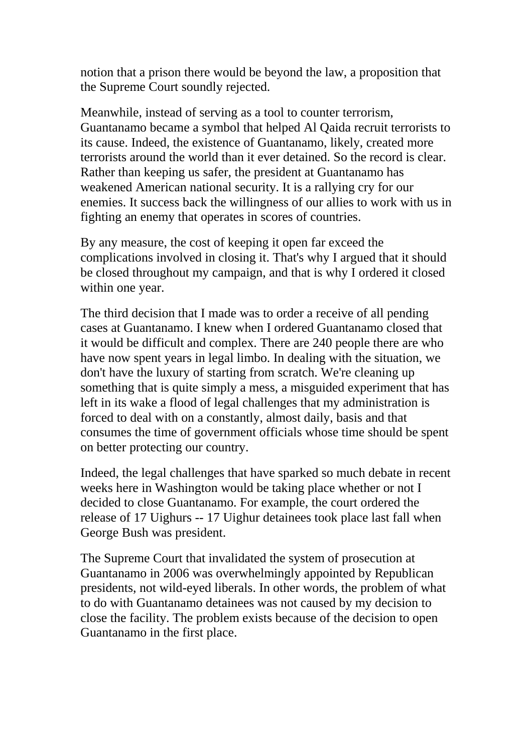notion that a prison there would be beyond the law, a proposition that the Supreme Court soundly rejected.

Meanwhile, instead of serving as a tool to counter terrorism, Guantanamo became a symbol that helped Al Qaida recruit terrorists to its cause. Indeed, the existence of Guantanamo, likely, created more terrorists around the world than it ever detained. So the record is clear. Rather than keeping us safer, the president at Guantanamo has weakened American national security. It is a rallying cry for our enemies. It success back the willingness of our allies to work with us in fighting an enemy that operates in scores of countries.

By any measure, the cost of keeping it open far exceed the complications involved in closing it. That's why I argued that it should be closed throughout my campaign, and that is why I ordered it closed within one year.

The third decision that I made was to order a receive of all pending cases at Guantanamo. I knew when I ordered Guantanamo closed that it would be difficult and complex. There are 240 people there are who have now spent years in legal limbo. In dealing with the situation, we don't have the luxury of starting from scratch. We're cleaning up something that is quite simply a mess, a misguided experiment that has left in its wake a flood of legal challenges that my administration is forced to deal with on a constantly, almost daily, basis and that consumes the time of government officials whose time should be spent on better protecting our country.

Indeed, the legal challenges that have sparked so much debate in recent weeks here in Washington would be taking place whether or not I decided to close Guantanamo. For example, the court ordered the release of 17 Uighurs -- 17 Uighur detainees took place last fall when George Bush was president.

The Supreme Court that invalidated the system of prosecution at Guantanamo in 2006 was overwhelmingly appointed by Republican presidents, not wild-eyed liberals. In other words, the problem of what to do with Guantanamo detainees was not caused by my decision to close the facility. The problem exists because of the decision to open Guantanamo in the first place.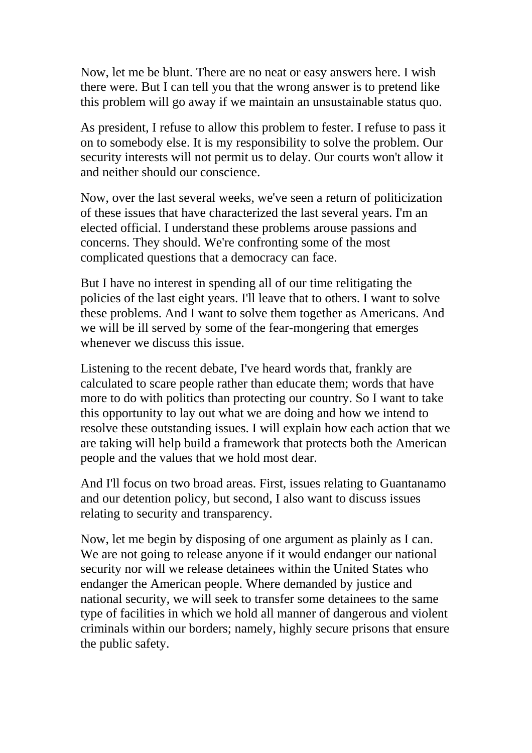Now, let me be blunt. There are no neat or easy answers here. I wish there were. But I can tell you that the wrong answer is to pretend like this problem will go away if we maintain an unsustainable status quo.

As president, I refuse to allow this problem to fester. I refuse to pass it on to somebody else. It is my responsibility to solve the problem. Our security interests will not permit us to delay. Our courts won't allow it and neither should our conscience.

Now, over the last several weeks, we've seen a return of politicization of these issues that have characterized the last several years. I'm an elected official. I understand these problems arouse passions and concerns. They should. We're confronting some of the most complicated questions that a democracy can face.

But I have no interest in spending all of our time relitigating the policies of the last eight years. I'll leave that to others. I want to solve these problems. And I want to solve them together as Americans. And we will be ill served by some of the fear-mongering that emerges whenever we discuss this issue.

Listening to the recent debate, I've heard words that, frankly are calculated to scare people rather than educate them; words that have more to do with politics than protecting our country. So I want to take this opportunity to lay out what we are doing and how we intend to resolve these outstanding issues. I will explain how each action that we are taking will help build a framework that protects both the American people and the values that we hold most dear.

And I'll focus on two broad areas. First, issues relating to Guantanamo and our detention policy, but second, I also want to discuss issues relating to security and transparency.

Now, let me begin by disposing of one argument as plainly as I can. We are not going to release anyone if it would endanger our national security nor will we release detainees within the United States who endanger the American people. Where demanded by justice and national security, we will seek to transfer some detainees to the same type of facilities in which we hold all manner of dangerous and violent criminals within our borders; namely, highly secure prisons that ensure the public safety.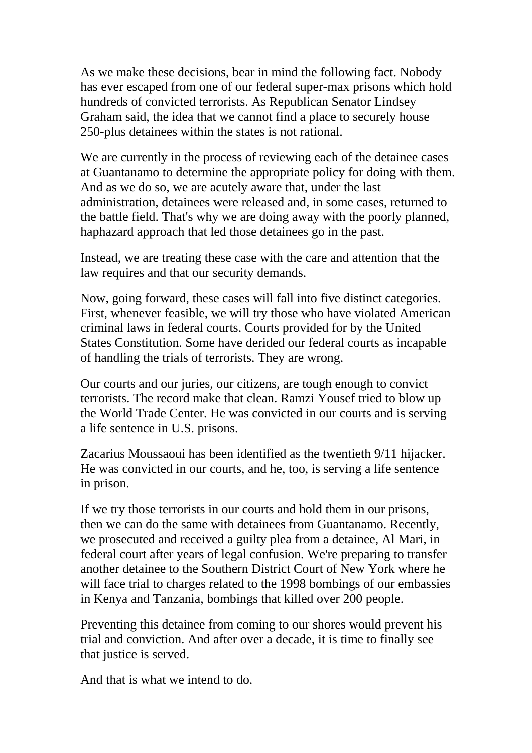As we make these decisions, bear in mind the following fact. Nobody has ever escaped from one of our federal super-max prisons which hold hundreds of convicted terrorists. As Republican Senator Lindsey Graham said, the idea that we cannot find a place to securely house 250-plus detainees within the states is not rational.

We are currently in the process of reviewing each of the detainee cases at Guantanamo to determine the appropriate policy for doing with them. And as we do so, we are acutely aware that, under the last administration, detainees were released and, in some cases, returned to the battle field. That's why we are doing away with the poorly planned, haphazard approach that led those detainees go in the past.

Instead, we are treating these case with the care and attention that the law requires and that our security demands.

Now, going forward, these cases will fall into five distinct categories. First, whenever feasible, we will try those who have violated American criminal laws in federal courts. Courts provided for by the United States Constitution. Some have derided our federal courts as incapable of handling the trials of terrorists. They are wrong.

Our courts and our juries, our citizens, are tough enough to convict terrorists. The record make that clean. Ramzi Yousef tried to blow up the World Trade Center. He was convicted in our courts and is serving a life sentence in U.S. prisons.

Zacarius Moussaoui has been identified as the twentieth 9/11 hijacker. He was convicted in our courts, and he, too, is serving a life sentence in prison.

If we try those terrorists in our courts and hold them in our prisons, then we can do the same with detainees from Guantanamo. Recently, we prosecuted and received a guilty plea from a detainee, Al Mari, in federal court after years of legal confusion. We're preparing to transfer another detainee to the Southern District Court of New York where he will face trial to charges related to the 1998 bombings of our embassies in Kenya and Tanzania, bombings that killed over 200 people.

Preventing this detainee from coming to our shores would prevent his trial and conviction. And after over a decade, it is time to finally see that justice is served.

And that is what we intend to do.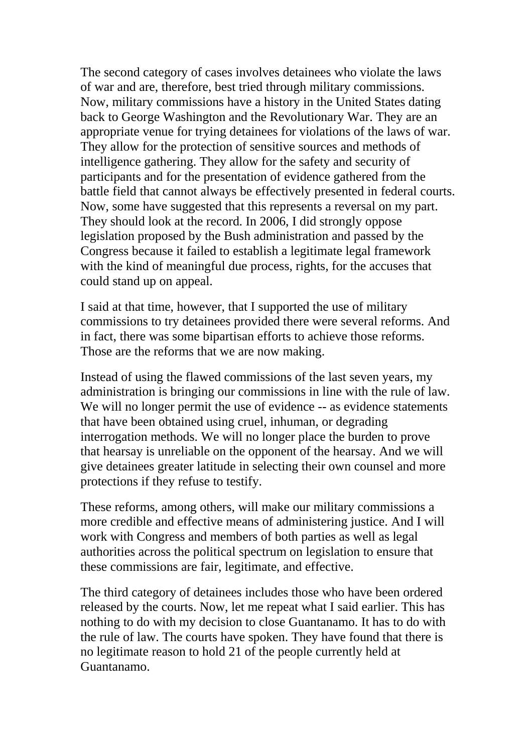The second category of cases involves detainees who violate the laws of war and are, therefore, best tried through military commissions. Now, military commissions have a history in the United States dating back to George Washington and the Revolutionary War. They are an appropriate venue for trying detainees for violations of the laws of war. They allow for the protection of sensitive sources and methods of intelligence gathering. They allow for the safety and security of participants and for the presentation of evidence gathered from the battle field that cannot always be effectively presented in federal courts. Now, some have suggested that this represents a reversal on my part. They should look at the record. In 2006, I did strongly oppose legislation proposed by the Bush administration and passed by the Congress because it failed to establish a legitimate legal framework with the kind of meaningful due process, rights, for the accuses that could stand up on appeal.

I said at that time, however, that I supported the use of military commissions to try detainees provided there were several reforms. And in fact, there was some bipartisan efforts to achieve those reforms. Those are the reforms that we are now making.

Instead of using the flawed commissions of the last seven years, my administration is bringing our commissions in line with the rule of law. We will no longer permit the use of evidence -- as evidence statements that have been obtained using cruel, inhuman, or degrading interrogation methods. We will no longer place the burden to prove that hearsay is unreliable on the opponent of the hearsay. And we will give detainees greater latitude in selecting their own counsel and more protections if they refuse to testify.

These reforms, among others, will make our military commissions a more credible and effective means of administering justice. And I will work with Congress and members of both parties as well as legal authorities across the political spectrum on legislation to ensure that these commissions are fair, legitimate, and effective.

The third category of detainees includes those who have been ordered released by the courts. Now, let me repeat what I said earlier. This has nothing to do with my decision to close Guantanamo. It has to do with the rule of law. The courts have spoken. They have found that there is no legitimate reason to hold 21 of the people currently held at Guantanamo.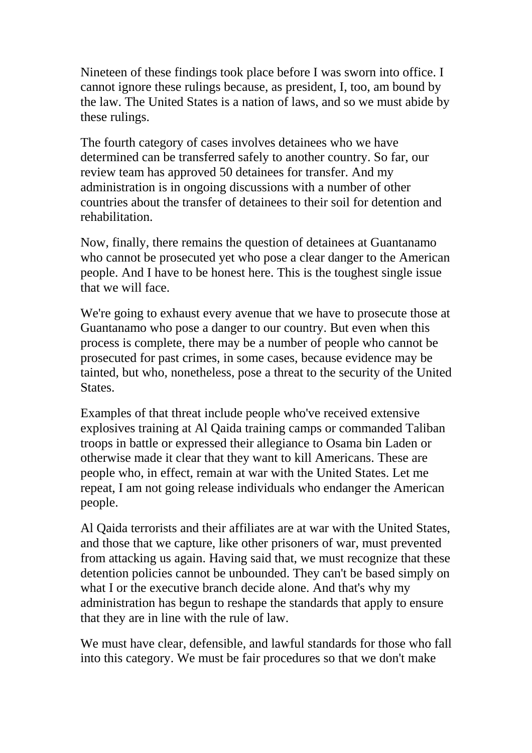Nineteen of these findings took place before I was sworn into office. I cannot ignore these rulings because, as president, I, too, am bound by the law. The United States is a nation of laws, and so we must abide by these rulings.

The fourth category of cases involves detainees who we have determined can be transferred safely to another country. So far, our review team has approved 50 detainees for transfer. And my administration is in ongoing discussions with a number of other countries about the transfer of detainees to their soil for detention and rehabilitation.

Now, finally, there remains the question of detainees at Guantanamo who cannot be prosecuted yet who pose a clear danger to the American people. And I have to be honest here. This is the toughest single issue that we will face.

We're going to exhaust every avenue that we have to prosecute those at Guantanamo who pose a danger to our country. But even when this process is complete, there may be a number of people who cannot be prosecuted for past crimes, in some cases, because evidence may be tainted, but who, nonetheless, pose a threat to the security of the United **States** 

Examples of that threat include people who've received extensive explosives training at Al Qaida training camps or commanded Taliban troops in battle or expressed their allegiance to Osama bin Laden or otherwise made it clear that they want to kill Americans. These are people who, in effect, remain at war with the United States. Let me repeat, I am not going release individuals who endanger the American people.

Al Qaida terrorists and their affiliates are at war with the United States, and those that we capture, like other prisoners of war, must prevented from attacking us again. Having said that, we must recognize that these detention policies cannot be unbounded. They can't be based simply on what I or the executive branch decide alone. And that's why my administration has begun to reshape the standards that apply to ensure that they are in line with the rule of law.

We must have clear, defensible, and lawful standards for those who fall into this category. We must be fair procedures so that we don't make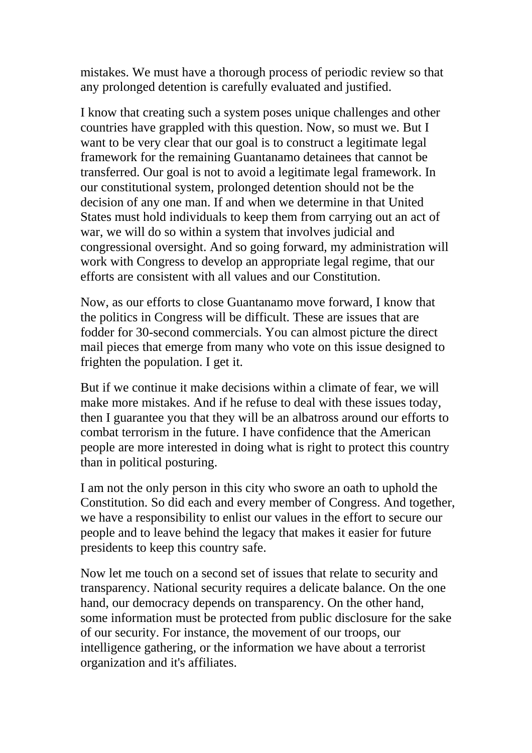mistakes. We must have a thorough process of periodic review so that any prolonged detention is carefully evaluated and justified.

I know that creating such a system poses unique challenges and other countries have grappled with this question. Now, so must we. But I want to be very clear that our goal is to construct a legitimate legal framework for the remaining Guantanamo detainees that cannot be transferred. Our goal is not to avoid a legitimate legal framework. In our constitutional system, prolonged detention should not be the decision of any one man. If and when we determine in that United States must hold individuals to keep them from carrying out an act of war, we will do so within a system that involves judicial and congressional oversight. And so going forward, my administration will work with Congress to develop an appropriate legal regime, that our efforts are consistent with all values and our Constitution.

Now, as our efforts to close Guantanamo move forward, I know that the politics in Congress will be difficult. These are issues that are fodder for 30-second commercials. You can almost picture the direct mail pieces that emerge from many who vote on this issue designed to frighten the population. I get it.

But if we continue it make decisions within a climate of fear, we will make more mistakes. And if he refuse to deal with these issues today, then I guarantee you that they will be an albatross around our efforts to combat terrorism in the future. I have confidence that the American people are more interested in doing what is right to protect this country than in political posturing.

I am not the only person in this city who swore an oath to uphold the Constitution. So did each and every member of Congress. And together, we have a responsibility to enlist our values in the effort to secure our people and to leave behind the legacy that makes it easier for future presidents to keep this country safe.

Now let me touch on a second set of issues that relate to security and transparency. National security requires a delicate balance. On the one hand, our democracy depends on transparency. On the other hand, some information must be protected from public disclosure for the sake of our security. For instance, the movement of our troops, our intelligence gathering, or the information we have about a terrorist organization and it's affiliates.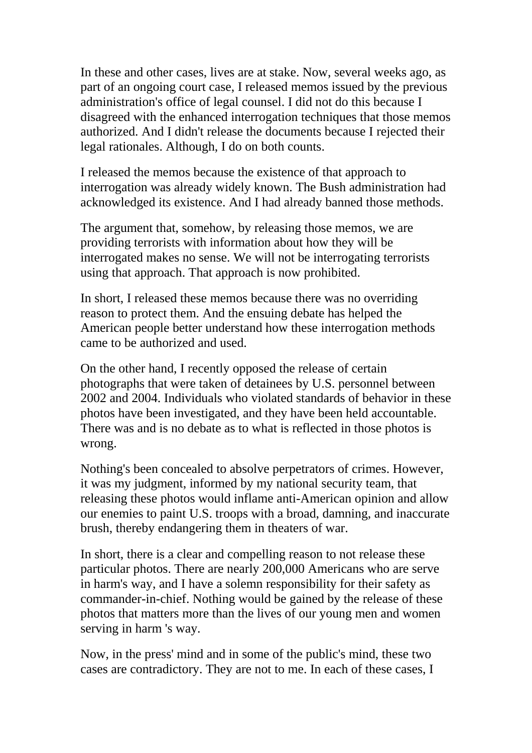In these and other cases, lives are at stake. Now, several weeks ago, as part of an ongoing court case, I released memos issued by the previous administration's office of legal counsel. I did not do this because I disagreed with the enhanced interrogation techniques that those memos authorized. And I didn't release the documents because I rejected their legal rationales. Although, I do on both counts.

I released the memos because the existence of that approach to interrogation was already widely known. The Bush administration had acknowledged its existence. And I had already banned those methods.

The argument that, somehow, by releasing those memos, we are providing terrorists with information about how they will be interrogated makes no sense. We will not be interrogating terrorists using that approach. That approach is now prohibited.

In short, I released these memos because there was no overriding reason to protect them. And the ensuing debate has helped the American people better understand how these interrogation methods came to be authorized and used.

On the other hand, I recently opposed the release of certain photographs that were taken of detainees by U.S. personnel between 2002 and 2004. Individuals who violated standards of behavior in these photos have been investigated, and they have been held accountable. There was and is no debate as to what is reflected in those photos is wrong.

Nothing's been concealed to absolve perpetrators of crimes. However, it was my judgment, informed by my national security team, that releasing these photos would inflame anti-American opinion and allow our enemies to paint U.S. troops with a broad, damning, and inaccurate brush, thereby endangering them in theaters of war.

In short, there is a clear and compelling reason to not release these particular photos. There are nearly 200,000 Americans who are serve in harm's way, and I have a solemn responsibility for their safety as commander-in-chief. Nothing would be gained by the release of these photos that matters more than the lives of our young men and women serving in harm 's way.

Now, in the press' mind and in some of the public's mind, these two cases are contradictory. They are not to me. In each of these cases, I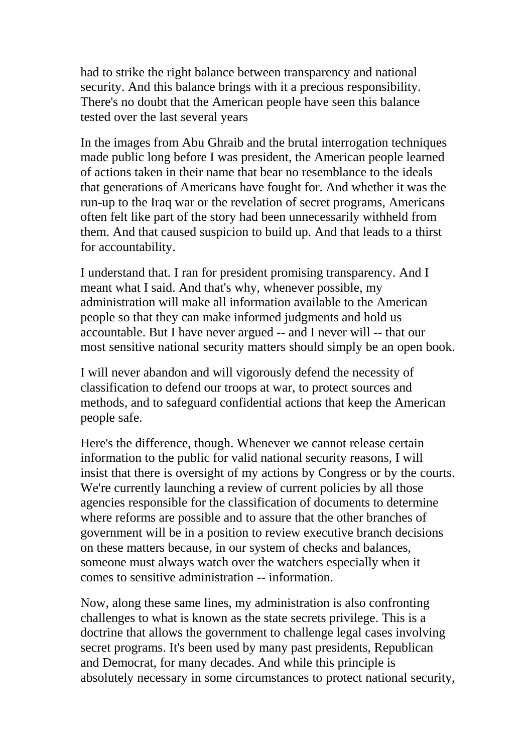had to strike the right balance between transparency and national security. And this balance brings with it a precious responsibility. There's no doubt that the American people have seen this balance tested over the last several years

In the images from Abu Ghraib and the brutal interrogation techniques made public long before I was president, the American people learned of actions taken in their name that bear no resemblance to the ideals that generations of Americans have fought for. And whether it was the run-up to the Iraq war or the revelation of secret programs, Americans often felt like part of the story had been unnecessarily withheld from them. And that caused suspicion to build up. And that leads to a thirst for accountability.

I understand that. I ran for president promising transparency. And I meant what I said. And that's why, whenever possible, my administration will make all information available to the American people so that they can make informed judgments and hold us accountable. But I have never argued -- and I never will -- that our most sensitive national security matters should simply be an open book.

I will never abandon and will vigorously defend the necessity of classification to defend our troops at war, to protect sources and methods, and to safeguard confidential actions that keep the American people safe.

Here's the difference, though. Whenever we cannot release certain information to the public for valid national security reasons, I will insist that there is oversight of my actions by Congress or by the courts. We're currently launching a review of current policies by all those agencies responsible for the classification of documents to determine where reforms are possible and to assure that the other branches of government will be in a position to review executive branch decisions on these matters because, in our system of checks and balances, someone must always watch over the watchers especially when it comes to sensitive administration -- information.

Now, along these same lines, my administration is also confronting challenges to what is known as the state secrets privilege. This is a doctrine that allows the government to challenge legal cases involving secret programs. It's been used by many past presidents, Republican and Democrat, for many decades. And while this principle is absolutely necessary in some circumstances to protect national security,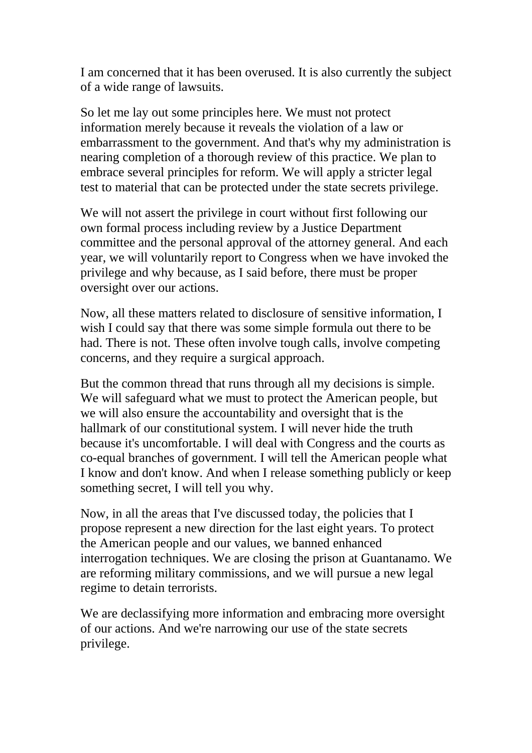I am concerned that it has been overused. It is also currently the subject of a wide range of lawsuits.

So let me lay out some principles here. We must not protect information merely because it reveals the violation of a law or embarrassment to the government. And that's why my administration is nearing completion of a thorough review of this practice. We plan to embrace several principles for reform. We will apply a stricter legal test to material that can be protected under the state secrets privilege.

We will not assert the privilege in court without first following our own formal process including review by a Justice Department committee and the personal approval of the attorney general. And each year, we will voluntarily report to Congress when we have invoked the privilege and why because, as I said before, there must be proper oversight over our actions.

Now, all these matters related to disclosure of sensitive information, I wish I could say that there was some simple formula out there to be had. There is not. These often involve tough calls, involve competing concerns, and they require a surgical approach.

But the common thread that runs through all my decisions is simple. We will safeguard what we must to protect the American people, but we will also ensure the accountability and oversight that is the hallmark of our constitutional system. I will never hide the truth because it's uncomfortable. I will deal with Congress and the courts as co-equal branches of government. I will tell the American people what I know and don't know. And when I release something publicly or keep something secret, I will tell you why.

Now, in all the areas that I've discussed today, the policies that I propose represent a new direction for the last eight years. To protect the American people and our values, we banned enhanced interrogation techniques. We are closing the prison at Guantanamo. We are reforming military commissions, and we will pursue a new legal regime to detain terrorists.

We are declassifying more information and embracing more oversight of our actions. And we're narrowing our use of the state secrets privilege.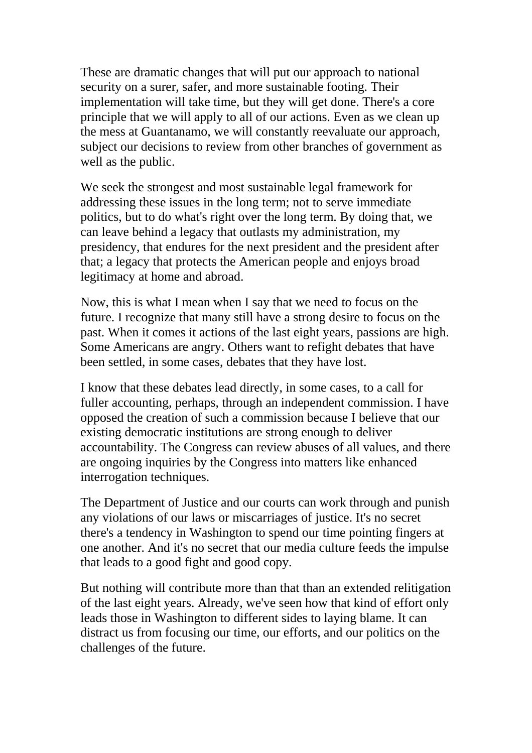These are dramatic changes that will put our approach to national security on a surer, safer, and more sustainable footing. Their implementation will take time, but they will get done. There's a core principle that we will apply to all of our actions. Even as we clean up the mess at Guantanamo, we will constantly reevaluate our approach, subject our decisions to review from other branches of government as well as the public.

We seek the strongest and most sustainable legal framework for addressing these issues in the long term; not to serve immediate politics, but to do what's right over the long term. By doing that, we can leave behind a legacy that outlasts my administration, my presidency, that endures for the next president and the president after that; a legacy that protects the American people and enjoys broad legitimacy at home and abroad.

Now, this is what I mean when I say that we need to focus on the future. I recognize that many still have a strong desire to focus on the past. When it comes it actions of the last eight years, passions are high. Some Americans are angry. Others want to refight debates that have been settled, in some cases, debates that they have lost.

I know that these debates lead directly, in some cases, to a call for fuller accounting, perhaps, through an independent commission. I have opposed the creation of such a commission because I believe that our existing democratic institutions are strong enough to deliver accountability. The Congress can review abuses of all values, and there are ongoing inquiries by the Congress into matters like enhanced interrogation techniques.

The Department of Justice and our courts can work through and punish any violations of our laws or miscarriages of justice. It's no secret there's a tendency in Washington to spend our time pointing fingers at one another. And it's no secret that our media culture feeds the impulse that leads to a good fight and good copy.

But nothing will contribute more than that than an extended relitigation of the last eight years. Already, we've seen how that kind of effort only leads those in Washington to different sides to laying blame. It can distract us from focusing our time, our efforts, and our politics on the challenges of the future.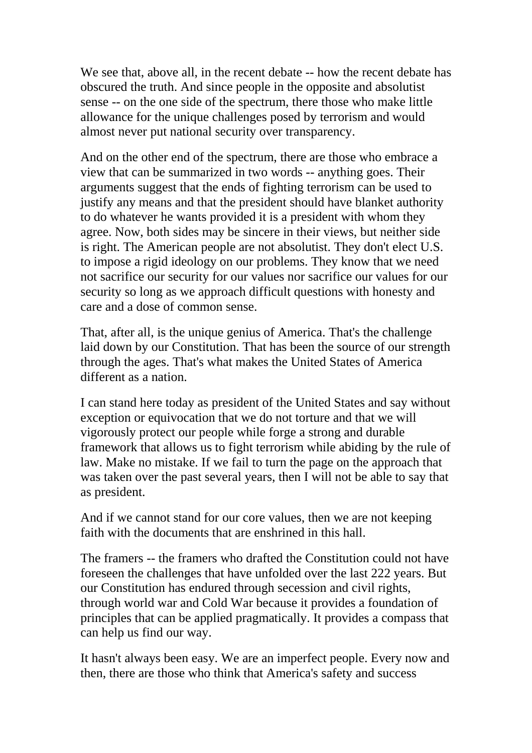We see that, above all, in the recent debate -- how the recent debate has obscured the truth. And since people in the opposite and absolutist sense -- on the one side of the spectrum, there those who make little allowance for the unique challenges posed by terrorism and would almost never put national security over transparency.

And on the other end of the spectrum, there are those who embrace a view that can be summarized in two words -- anything goes. Their arguments suggest that the ends of fighting terrorism can be used to justify any means and that the president should have blanket authority to do whatever he wants provided it is a president with whom they agree. Now, both sides may be sincere in their views, but neither side is right. The American people are not absolutist. They don't elect U.S. to impose a rigid ideology on our problems. They know that we need not sacrifice our security for our values nor sacrifice our values for our security so long as we approach difficult questions with honesty and care and a dose of common sense.

That, after all, is the unique genius of America. That's the challenge laid down by our Constitution. That has been the source of our strength through the ages. That's what makes the United States of America different as a nation.

I can stand here today as president of the United States and say without exception or equivocation that we do not torture and that we will vigorously protect our people while forge a strong and durable framework that allows us to fight terrorism while abiding by the rule of law. Make no mistake. If we fail to turn the page on the approach that was taken over the past several years, then I will not be able to say that as president.

And if we cannot stand for our core values, then we are not keeping faith with the documents that are enshrined in this hall.

The framers -- the framers who drafted the Constitution could not have foreseen the challenges that have unfolded over the last 222 years. But our Constitution has endured through secession and civil rights, through world war and Cold War because it provides a foundation of principles that can be applied pragmatically. It provides a compass that can help us find our way.

It hasn't always been easy. We are an imperfect people. Every now and then, there are those who think that America's safety and success